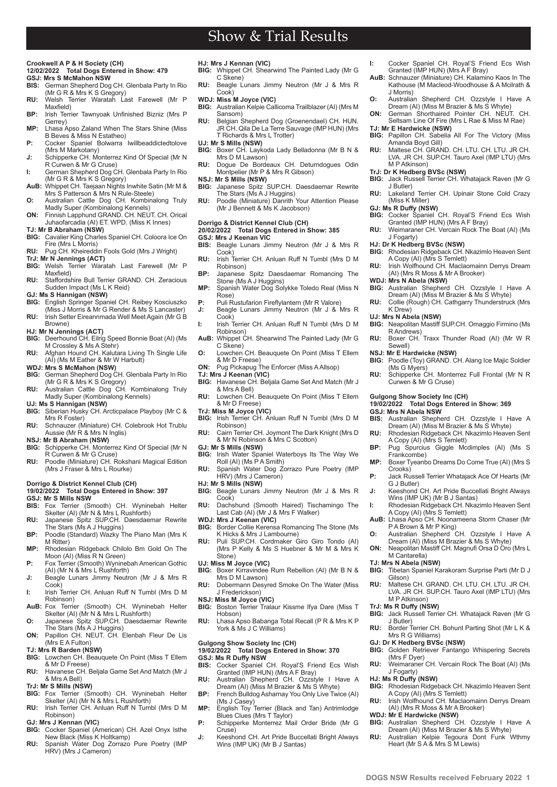#### **Crookwell A P & H Society (CH) 12/02/2022 Total Dogs Entered in Show: 479**

# **GSJ: Mrs S McMahon NSW**<br>**BIS:** German Shepherd Dog

- **BIS:** German Shepherd Dog CH. Glenbala Party In Rio
- (Mr G R & Mrs K S Gregory) **RU:** Welsh Terrier Waratah Last Farewell (Mr P Maxfield)
- **BP:** Irish Terrier Tawnyoak Unfinished Bizniz (Mrs P Gerrey) **MP:** Lhasa Apso Zaland When The Stars Shine (Miss
- B Beves & Miss N Estatheo)
- **P:** Cocker Spaniel Bolwarra Iwillbeaddictedtolove<br>Mrs M Markotany) **J:** Schipperke CH. Monterrez Kind Of Special (Mr N
- R Curwen & Mr G Cruse) **I:** German Shepherd Dog CH. Glenbala Party In Rio
- (Mr G R & Mrs K S Gregory) **AuB:** Whippet CH. Taejaan Nights Inwhite Satin (Mr M & Mrs S Patterson & Mrs N Rule-Steele)
- **O:** Australian Cattle Dog CH. Kombinalong Truly<br>Madly Super (Kombinalong Kennels)<br>**ON:** Finnish Lapphund GRAND. CH. NEUT. CH. Orical
- Juhaofarcadia (AI) ET. WPD. (Miss K Innes)
- **TJ: Mr B Abraham (NSW) BIG:** Cavalier King Charles Spaniel CH. Coloora Ice On Fire (Mrs L Morris)
- **RU:** Pug CH. Kheireddin Fools Gold (Mrs J Wright)
- **TrJ: Mr N Jennings (ACT) BIG:** Welsh Terrier Waratah Last Farewell (Mr P
- Maxfield)
- **RU:** Staffordshire Bull Terrier GRAND. CH. Zeracious Sudden Impact (Ms L K Reid)
- **GJ: Ms S Hannigan (NSW)**
- **BIG:** English Springer Spaniel CH. Reibey Kosciuszko (Miss J Morris & Mr G Render & Ms S Lancaster)
- **RU:** Irish Setter Eireannmada Well Meet Again (Mr G B Browne)
- **HJ: Mr N Jennings (ACT)**<br>**BIG:** Deerhound CH. Eilrig Speed Bonnie Boat (AI) (Ms
- M Crossley & Ms A Stehr) **RU:** Afghan Hound CH. Kalutara Living Th Single Life<br>(AI) (Ms M Eather & Mr W Harbutt)
- 
- **WDJ: Mrs S McMahon (NSW)**<br>**BIG:** German Shepherd Dog C **BIG:** German Shepherd Dog CH. Glenbala Party In Rio
- (Mr G R & Mrs K S Gregory) **RU:** Australian Cattle Dog CH. Kombinalong Truly Madly Super (Kombinalong Kennels)
- **UJ: Ms S Hannigan (NSW)**
- Siberian Husky CH. Arcticpalace Playboy (Mr C & Mrs R Foster)
- **RU:** Schnauzer (Miniature) CH. Colebrook Hot Trublu Aussie (Mr R & Mrs N Inglis)
- **NSJ: Mr B Abraham (NSW)**
- **BIG:** Schipperke CH. Monterrez Kind Of Special (Mr N R Curwen & Mr G Cruse) **RU:** Poodle (Miniature) CH. Rokshani Magical Edition
- (Mrs J Fraser & Mrs L Rourke)

### **Dorrigo & District Kennel Club (CH)**

- **19/02/2022 Total Dogs Entered in Show: 397 GSJ: Mr S Mills NSW**
- **BIS:** Fox Terrier (Smooth) CH. Wyninebah Helter Skelter (AI) (Mr N & Mrs L Rushforth)
- **RU:** Japanese Spitz SUP.CH. Daesdaemar Rewrite The Stars (Ms A J Huggins)
- **BP:** Poodle (Standard) Wazky The Piano Man (Mrs K M Ritter)
- **MP:** Rhodesian Ridgeback Chilolo Bm Gold On The Moon (AI) (Miss R N Green)
- **P:** Fox Terrier (Smooth) Wyninebah American Gothic (AI) (Mr N & Mrs L Rushforth)
- **J:** Beagle Lunars Jimmy Neutron (Mr J & Mrs R Cook)
- **I:** Irish Terrier CH. Anluan Ruff N Tumbl (Mrs D M Robinson)
- **AuB:** Fox Terrier (Smooth) CH. Wyninebah Helter Skelter (AI) (Mr N & Mrs L Rushforth) **O:** Japanese Spitz SUP.CH. Daesdaemar Rewrite
- The Stars (Ms A J Huggins) **ON:** Papillon CH. NEUT. CH. Elenbah Fleur De Lis
- (Mrs E A Fulton)
- **TJ: Mrs R Barden (NSW)**
- **BIG:** Lowchen CH. Beauquete On Point (Miss T Ellem & Mr D Freese)
- **RU:** Havanese CH. Beljala Game Set And Match (Mr J & Mrs A Bell)
- **TrJ: Mr S Mills (NSW)**

**PB www.dogsnsw.org.au DOGS NSW Results received February 2022 1**

- **BIG:** Fox Terrier (Smooth) CH. Wyninebah Helter Skelter (AI) (Mr N & Mrs L Rushforth)
- **RU:** Irish Terrier CH. Anluan Ruff N Tumbl (Mrs D M Robinson)
- **GJ: Mrs J Kennan (VIC)**<br>**BIG:** Cocker Spaniel (A **BIG:** Cocker Spaniel (American) CH. Azel Onyx Isthe
- New Black (Miss K Holtkamp)
- **RU:** Spanish Water Dog Zorrazo Pure Poetry (IMP HRV) (Mrs J Cameron)

**HJ: Mrs J Kennan (VIC) BIG:** Whippet CH. Shearwind The Painted Lady (Mr G C Skene)

**I:** Cocker Spaniel CH. Royal'S Friend Ecs Wish Granted (IMP HUN) (Mrs A F Bray) **AuB:** Schnauzer (Miniature) CH. Kalamino Kaos In The Kathouse (M Macleod-Woodhouse & A Mcilrath &

**O:** Australian Shepherd CH. Ozzstyle I Have A Dream (AI) (Miss M Brazier & Ms S Whyte) **ON:** German Shorthaired Pointer CH. NEUT. CH. Seltsam Line Of Fire (Mrs L Rae & Miss M Rae)

**BIG:** Papillon CH. Sabelia All For The Victory (Miss Amanda Boyd Gill) **RU:** Maltese CH. GRAND. CH. LTU. CH. LTU. JR CH. LVA. JR CH. SUP.CH. Tauro Axel (IMP LTU) (Mrs

**BIG:** Jack Russell Terrier CH. Whatajack Raven (Mr G

**RU:** Lakeland Terrier CH. Upinair Stone Cold Crazy

**BIG:** Cocker Spaniel CH. Royal'S Friend Ecs Wish Granted (IMP HUN) (Mrs A F Bray) **RU:** Weimaraner CH. Vercain Rock The Boat (AI) (Ms

**HJ: Dr K Hedberg BVSc (NSW)<br><b>BIG:** Rhodesian Ridgeback CH. Nkazimlo Heaven Sent A Copy (AI) (Mrs S Temlett) **RU:** Irish Wolfhound CH. Maclaomainn Derrys Dream (AI) (Mrs R Moss & Mr A Brooker)

**BIG:** Australian Shepherd CH. Ozzstyle I Have A<br>Dream (AI) (Miss M Brazier & Ms S Whyte) **RU:** Collie (Rough) CH. Cathgarry Thunderstruck (Mrs

**BIG:** Neapolitan Mastiff SUP.CH. Omaggio Firmino (Ms

**RU:** Boxer CH. Traxx Thunder Road (AI) (Mr W R

**BIG:** Poodle (Toy) GRAND. CH. Alang Ice Majic Soldier

**RU:** Schipperke CH. Monterrez Full Frontal (Mr N R

**BIS:** Australian Shepherd CH. Ozzstyle I Have A Dream (AI) (Miss M Brazier & Ms S Whyte) **RU:** Rhodesian Ridgeback CH. Nkazimlo Heaven Sent

**BP:** Pug Spurcius Giggle Mcdimples (AI) (Ms S Frankcombe) **MP:** Boxer Tyeanbo Dreams Do Come True (AI) (Mrs S

**P:** Jack Russell Terrier Whatajack Ace Of Hearts (Mr

**J:** Keeshond CH. Art Pride Buccellati Bright Always Wins (IMP UK) (Mr B J Santas) **I:** Rhodesian Ridgeback CH. Nkazimlo Heaven Sent A Copy (AI) (Mrs S Temlett) **AuB:** Lhasa Apso CH. Noonameena Storm Chaser (Mr

**O:** Australian Shepherd CH. Ozzstyle I Have A Dream (AI) (Miss M Brazier & Ms S Whyte) **ON:** Neapolitan Mastiff CH. Magnufi Orsa D Oro (Mrs L

**BIG:** Tibetan Spaniel Karakoram Surprise Parti (Mr D J

**RU:** Maltese CH. GRAND. CH. LTU. CH. LTU. JR CH. LVA. JR CH. SUP.CH. Tauro Axel (IMP LTU) (Mrs

**BIG:** Jack Russell Terrier CH. Whatajack Raven (Mr G

**RU:** Border Terrier CH. Bohunt Parting Shot (Mr L K &<br>Mrs R G Williams)

**BIG:** Rhodesian Ridgeback CH. Nkazimlo Heaven Sent A Copy (AI) (Mrs S Temlett) **RU:** Irish Wolfhound CH. Maclaomainn Derrys Dream (AI) (Mrs R Moss & Mr A Brooker) **WDJ: Mr E Hardwicke (NSW) BIG:** Australian Shepherd CH. Ozzstyle I Have A Dream (AI) (Miss M Brazier & Ms S Whyte) **RU:** Australian Kelpie Tegoura Dont Funk Wthmy

Heart (Mr S A & Mrs S M Lewis)

Golden Retriever Fantango Whispering Secrets (Mrs F Dyer) **RU:** Weimaraner CH. Vercain Rock The Boat (AI) (Ms

**19/02/2022 Total Dogs Entered in Show: 369**

J Morris)

**TJ: Mr E Hardwicke (NSW)**

M P Atkinson) **TrJ: Dr K Hedberg BVSc (NSW)**

(Miss K Miller) **GJ: Ms R Duffy (NSW)**

J Butler)

J Fogarty)

**WDJ: Mrs N Abela (NSW)**

K Drew) **UJ: Mrs N Abela (NSW)**

Sewell) **NSJ: Mr E Hardwicke (NSW)**

R Andrews)

(Ms G Myers)

**GSJ: Mrs N Abela NSW**

Crooks)

G J Butler)

M Cantarella) **TJ: Mrs N Abela (NSW)**

M P Atkinson) **TrJ: Ms R Duffy (NSW)**

**GJ: Dr K Hedberg BVSc (NSW)**<br>**BIG:** Golden Retriever Fantang

Gilson)

J Butler)

J Fogarty) **HJ: Ms R Duffy (NSW)**

Curwen & Mr G Cruse) **Gulgong Show Society Inc (CH)** 

A Copy (AI) (Mrs S Temlett)

P A Brown & Mr P King)

- **RU:** Beagle Lunars Jimmy Neutron (Mr J & Mrs R Cook)
- **WDJ: Miss M Joyce (VIC)**<br>**BIG:** Australian Kelpie Call
- **BIG:** Australian Kelpie Callicoma Trailblazer (AI) (Mrs M Sansom) **RU:** Belgian Shepherd Dog (Groenendael) CH. HUN.
- JR CH. Qila De La Terre Sauvage (IMP HUN) (Mrs T Richards & Mrs L Trotter)
	-
- **UJ: Mr S Mills (NSW)**<br>**BIG:** Boxer CH. Laykoda Lady Belladonna (Mr B N & Mrs D M Lawson)
- **RU:** Dogue De Bordeaux CH. Deturndogues Odin Montpelier (Mr P & Mrs R Gibson)
- **NSJ: Mr S Mills (NSW)**<br>**BIG:** Japanese Spitz &
- Japanese Spitz SUP.CH. Daesdaemar Rewrite The Stars (Ms A J Huggins)
- **RU:** Poodle (Miniature) Danrith Your Attention Please (Mr J Bennett & Ms K Jacobson)

### **Dorrigo & District Kennel Club (CH)**

### **20/02/2022 Total Dogs Entered in Show: 385 GSJ: Mrs J Keenan VIC**<br>**BIS:** Beagle Lunars Jin

- Beagle Lunars Jimmy Neutron (Mr J & Mrs R Cook)
- **RU:** Irish Terrier CH. Anluan Ruff N Tumbl (Mrs D M Robinson) **BP:** Japanese Spitz Daesdaemar Romancing The
- Stone (Ms A J Huggins)
- **MP:** Spanish Water Dog Solykke Toledo Real (Miss N Rose)
- **P:** Puli Rustufarion Fireflylantern (Mr R Valore)<br>**J:** Beagle Lunars Jimmy Neutron (Mr J & I **J:** Beagle Lunars Jimmy Neutron (Mr J & Mrs R
- Cook) **I:** Irish Terrier CH. Anluan Ruff N Tumbl (Mrs D M
- Robinson) **AuB:** Whippet CH. Shearwind The Painted Lady (Mr G C Skene)
- **O:** Lowchen CH. Beauquete On Point (Miss T Ellem & Mr D Freese)
- **ON:** Pug Pickapug The Enforcer (Miss AAllsop)
- **TJ: Mrs J Keenan (VIC)**
- **BIG:** Havanese CH. Beljala Game Set And Match (Mr J & Mrs A Bell)
- **RU:** Lowchen CH. Beauquete On Point (Miss T Ellem & Mr D Freese)
- 
- **TrJ: Miss M Joyce (VIC) BIG:** Irish Terrier CH. Anluan Ruff N Tumbl (Mrs D M Robinson)
- **RU:** Cairn Terrier CH. Joymont The Dark Knight (Mrs D & Mr N Robinson & Mrs C Scotton) **GJ: Mr S Mills (NSW)**
- **BIG:** Irish Water Spaniel Waterboys Its The Way We Roll (AI) (Ms P A Smith)
- **RU:** Spanish Water Dog Zorrazo Pure Poetry (IMP HRV) (Mrs J Cameron)
- **HJ: Mr S Mills (NSW)**
- **BIG:** Beagle Lunars Jimmy Neutron (Mr J & Mrs R Cook)
- **RU:** Dachshund (Smooth Haired) Tischamingo The Last Cab (AI) (Mr J & Mrs F Walker)
- **WDJ: Mrs J Keenan (VIC)**
- **BIG:** Border Collie Kerensa Romancing The Stone (Ms K Hicks & Mrs J Lambourne)
- **RU:** Puli SUP.CH. Cordmaker Giro Giro Tondo (AI) (Mrs P Kelly & Ms S Huebner & Mr M & Mrs K Stone)
- **UJ: Miss M Joyce (VIC)**
- **BIG:** Boxer Kirravindee Rum Rebellion (AI) (Mr B N & Mrs D M Lawson)
- **RU:** Dobermann Desyred Smoke On The Water (Miss J Frederickson)
- 

Cruse)

- **NSJ: Miss M Joyce (VIC)**<br>**BIG:** Boston Terrier Tralaur Kissme Ifya Dare (Miss T Hobson)
- **RU:** Lhasa Apso Babanga Total Recall (P R & Mrs K P York & Ms J C Williams)

### **Gulgong Show Society Inc (CH)**

### **19/02/2022 Total Dogs Entered in Show: 370**

- **GSJ: Ms R Duffy NSW**
- **BIS:** Cocker Spaniel CH. Royal'S Friend Ecs Wish Granted (IMP HUN) (Mrs A F Bray) **RU:** Australian Shepherd CH. Ozzstyle I Have A
- Dream (AI) (Miss M Brazier & Ms S Whyte) **BP:** French Bulldog Asharnay You Only Live Twice (AI)
- (Ms J Casey) **MP:** English Toy Terrier (Black and Tan) Antrimlodge Blues Clues (Mrs T Taylor) **P:** Schipperke Monterrez Mail Order Bride (Mr G

**J:** Keeshond CH. Art Pride Buccellati Bright Always Wins (IMP UK) (Mr B J Santas)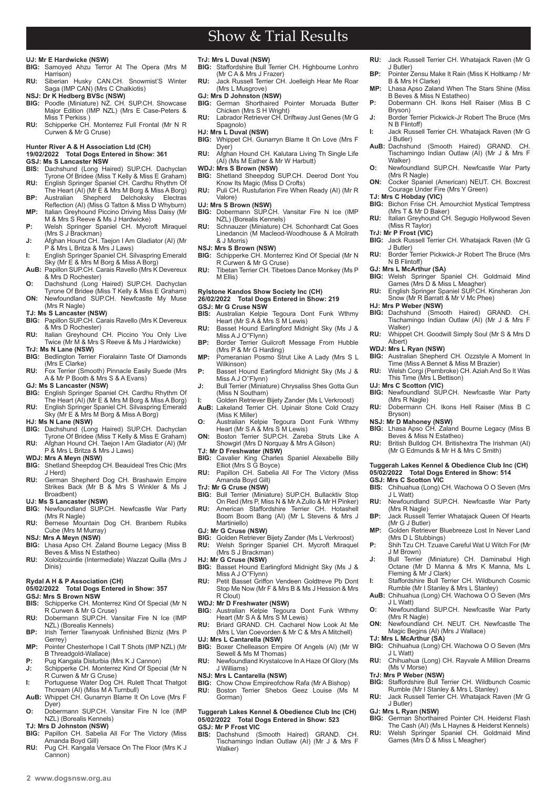### **UJ: Mr E Hardwicke (NSW)**

- **BIG:** Samoyed Ahzu Terror At The Opera (Mrs M Harrison)
- **RU:** Siberian Husky CAN.CH. Snowmist'S Winter Saga (IMP CAN) (Mrs C Chalkiotis)
- **NSJ: Dr K Hedberg BVSc (NSW)**
- **BIG:** Poodle (Miniature) NZ CH, SUPCH, Showcase Major Edition (IMP NZL) (Mrs E Case-Peters & Miss T Perkiss )
- **RU:** Schipperke CH. Monterrez Full Frontal (Mr N R Curwen & Mr G Cruse)

### **Hunter River A & H Association Ltd (CH) 19/02/2022 Total Dogs Entered in Show: 361**

- **GSJ: Ms S Lancaster NSW**<br>**BIS:** Dachshund (Long Ha
- **BIS:** Dachshund (Long Haired) SUP.CH. Dachyclan Tyrone Of Bridee (Miss T Kelly & Miss E Graham) **RU:** English Springer Spaniel CH. Cardhu Rhythm Of
- The Heart (AI) (Mr E & Mrs M Borg & Miss A Borg) **BP:** Australian Shepherd Delchoksky Electras
- Reflection (AI) (Miss G Tatton & Miss D Whyburn) **MP:** Italian Greyhound Piccino Driving Miss Daisy (Mr M & Mrs S Reeve & Ms J Hardwicke)
- 
- **P:** Welsh Springer Spaniel CH. Mycroft Miraquel<br>(Mrs S J Brackman)<br>J: Afghan Hound CH. Taejon I Am Gladiator (AI) (Mr<br>P & Mrs L Britza & Mrs J Laws)<br>I: English Springer Spaniel CH. Silvaspring Emerald<br>Sky (Mr E & Mrs M Bo
- 
- **AuB:** Papillon SUP.CH. Carais Ravello (Mrs K Devereux & Mrs D Rochester)
- **O:** Dachshund (Long Haired) SUP.CH. Dachyclan Tyrone Of Bridee (Miss T Kelly & Miss E Graham) **ON:** Newfoundland SUP.CH. Newfcastle My Muse
- (Mrs R Nagle) **TJ: Ms S Lancaster (NSW)**
- **BIG:** Papillon SUP.CH. Carais Ravello (Mrs K Devereux
- & Mrs D Rochester) **RU:** Italian Greyhound CH. Piccino You Only Live<br>Twice (Mr M & Mrs S Reeve & Ms J Hardwicke)
- **TrJ: Ms N Lane (NSW) BIG:** Bedlington Terrier Fioralainn Taste Of Diamonds
- (Mrs E Clarke) **RU:** Fox Terrier (Smooth) Pinnacle Easily Suede (Mrs A & Mr P Booth & Mrs S & A Evans)
- **GJ: Ms S Lancaster (NSW)**
- **BIG:** English Springer Spaniel CH. Cardhu Rhythm Of<br>The Heart (AI) (Mr E & Mrs M Borg & Miss A Borg)<br>**RU: English Springer Spaniel CH. Silvaspring Emerald<br>Sky (Mr E & Mrs M Borg & Miss A Borg)**
- 
- **HJ: Ms N Lane (NSW)**
- **BIG:** Dachshund (Long Haired) SUP.CH. Dachyclan Tyrone Of Bridee (Miss T Kelly & Miss E Graham) **RU:** Afghan Hound CH. Taejon I Am Gladiator (AI) (Mr
- P & Mrs L Britza & Mrs J Laws)
- **WDJ: Mrs A Meyn (NSW)**
- **BIG:** Shetland Sheepdog CH. Beauideal Tres Chic (Mrs J Herd)
- **RU:** German Shepherd Dog CH. Brashawin Empire Strikes Back (Mr B & Mrs S Winkler & Ms J Broadbent)
- **UJ: Ms S Lancaster (NSW)**
- **BIG:** Newfoundland SUP.CH. Newfcastle War Party (Mrs R Nagle)
- **RU:** Bernese Mountain Dog CH. Branbern Rubiks Cube (Mrs M Murray)
- **NSJ: Mrs A Meyn (NSW) BIG:** Lhasa Apso CH. Zaland Bourne Legacy (Miss B
- Beves & Miss N Estatheo) **RU:** Xoloitzcuintle (Intermediate) Wazzat Quilla (Mrs J Dinis)

### **Rydal A H & P Association (CH)**

**05/02/2022 Total Dogs Entered in Show: 357**

- **GSJ: Mrs S Brown NSW**
- **BISCONS CH. Monterrez Kind Of Special (Mr N** R Curwen & Mr G Cruse) **RU:** Dobermann SUP.CH. Vansitar Fire N Ice (IMP
- NZL) (Borealis Kennels) **BP:** Irish Terrier Tawnyoak Unfinished Bizniz (Mrs P
- Gerrey)
- **MP:** Pointer Chesterhope I Call T Shots (IMP NZL) (Mr B Threadgold-Wallace)
- **P:** Pug Kangala Disturbia (Mrs K J Cannon)<br>**J:** Schipperke CH. Monterrez Kind Of Spec Schipperke CH. Monterrez Kind Of Special (Mr N
- R Curwen & Mr G Cruse) **I:** Portuguese Water Dog CH. Rulett Thcat Thatgot Thcream (AI) (Miss M A Turnbull)
- AuB: Whippet CH. Gunarryn Blame It On Love (Mrs F D<sub>ver</sub>)
- **O:** Dobermann SUP.CH. Vansitar Fire N Ice (IMP NZL) (Borealis Kennels)
- **TJ: Mrs D Johnston (NSW)**
- **BIG:** Papillon CH. Sabelia All For The Victory (Miss Amanda Boyd Gill)
- **RU:** Pug CH. Kangala Versace On The Floor (Mrs K J Cannon)

### **TrJ: Mrs L Duval (NSW)**

- **BIG:** Staffordshire Bull Terrier CH. Highbourne Lonhro (Mr C A & Mrs J Frazer)
- **RU:** Jack Russell Terrier CH. Joelleigh Hear Me Roar (Mrs L Musgrove) **GJ: Mrs D Johnston (NSW)**
- **BIG:** German Shorthaired Pointer Moruada Butter
- Chicken (Mrs S H Wright) **RU:** Labrador Retriever CH. Driftway Just Genes (Mr G
- Spagnolo) **HJ: Mrs L Duval (NSW)**
- **BIG:** Whippet CH. Gunarryn Blame It On Love (Mrs F Dyer)
- **RU:** Afghan Hound CH. Kalutara Living Th Single Life (AI) (Ms M Eather & Mr W Harbutt)
- WDJ: Mrs S Brown (NSW)<br>BIG: Shetland Sheepdog 3
- Shetland Sheepdog SUP.CH. Deerod Dont You Know Its Magic (Miss D Crofts)
- **RU:** Puli CH. Rustufarion Fire When Ready (AI) (Mr R Valore)

### **UJ: Mrs S Brown (NSW)**

- **BIG:** Dobermann SUP.CH. Vansitar Fire N Ice (IMP NZL) (Borealis Kennels)
- **RU:** Schnauzer (Miniature) CH. Schonhardt Cat Goes Linedancin (M Macleod-Woodhouse & A Mcilrath & J Morris)
- **NSJ: Mrs S Brown (NSW)**
- Schipperke CH. Monterrez Kind Of Special (Mr N R Curwen & Mr G Cruse)
- **RU:** Tibetan Terrier CH. Tibetoes Dance Monkey (Ms P M Ellis)

### **Rylstone Kandos Show Society Inc (CH) 26/02/2022 Total Dogs Entered in Show: 219 GSJ: Mr G Cruse NSW**

- **BIS:** Australian Kelpie Tegoura Dont Funk Wthmy Heart (Mr S A & Mrs S M Lewis)
- **RU:** Basset Hound Earlingford Midnight Sky (Ms J & Miss A J O''Flynn)
- **BP:** Border Terrier Guilcroft Message From Hubble (Mrs P & Mr G Harding) **MP:** Pomeranian Posmo Strut Like A Lady (Mrs S L
- Wilkinson)
- **P:** Basset Hound Earlingford Midnight Sky (Ms J & Miss A J O''Flynn) **J:** Bull Terrier (Miniature) Chrysaliss Shes Gotta Gun
- (Miss N Southam)
- Golden Retriever Bijety Zander (Ms L Verkroost) AuB: Lakeland Terrier CH. Upinair Stone Cold Crazy (Miss K Miller)
- **O:** Australian Kelpie Tegoura Dont Funk Wthmy
- Heart (Mr S A & Mrs S M Lewis)<br>**ON:** Boston Terrier SUP.CH. Zareba Struts Like A Showgirl (Mrs D Norquay & Mrs A Gilson)
- **TJ: Mr D Freshwater (NSW)**
- **BIG:** Cavalier King Charles Spaniel Alexabelle Billy Elliot (Mrs S G Boyce)
- **RU:** Papillon CH. Sabelia All For The Victory (Miss Amanda Boyd Gill)
- **TrJ: Mr G Cruse (NSW)**
- **BIG:** Bull Terrier (Miniature) SUP.CH. Bullacktiv Stop<br>On Red (Mrs P, Miss N & Mr A Zullo & Mr H Pinker)
- **RU:** American Staffordshire Terrier CH. Hotashell Boom Boom Bang (AI) (Mr L Stevens & Mrs J Martiniello)
- **GJ: Mr G Cruse (NSW)**
- **BIG:** Golden Retriever Bijety Zander (Ms L Verkroost)<br>**RU:** Welsh Springer Spaniel CH Mycroft Mirague **RU:** Welsh Springer Spaniel CH. Mycroft Miraquel (Mrs S J Brackman)
- **HJ: Mr G Cruse (NSW)**
- **BIG:** Basset Hound Earlingford Midnight Sky (Ms J & Miss A J O''Flynn)
- **RU:** Petit Basset Griffon Vendeen Goldtreve Pb Dont<br>Stop Me Now (Mr F & Mrs B & Ms J Hession & Mrs R Clout)

### **WDJ: Mr D Freshwater (NSW)**

- **BIG:** Australian Kelpie Tegoura Dont Funk Wthmy Heart (Mr S A & Mrs S M Lewis)<br>**RU:** Briard GRAND. CH. Cacharel Now Look At Me
- (Mrs L Van Coevorden & Mr C & Mrs A Mitchell) **UJ: Mrs L Cantarella (NSW)**
- **BIG:** Boxer Chelleason Empire Of Angels (AI) (Mr W Sewell & Ms M Thomas)
- **RU:** Newfoundland Krystalcove In A Haze Of Glory (Ms J Williams)
- **NSJ: Mrs L Cantarella (NSW)**
- **BIG:** Chow Chow Empireofchow Rafa (Mr A Bishop) **RU:** Boston Terrier Shebos Geez Louise (Ms M Gorman)

### **Tuggerah Lakes Kennel & Obedience Club Inc (CH) 05/02/2022 Total Dogs Entered in Show: 523 GSJ: Mr P Frost VIC**

Dachshund (Smooth Haired) GRAND. CH Tischamingo Indian Outlaw (AI) (Mr J & Mrs F Walker)

- **RU:** Jack Russell Terrier CH. Whatajack Raven (Mr G J Butler)
- **BP:** Pointer Zensu Make It Rain (Miss K Holtkamp / Mr B & Mrs H Clarke) **MP:** Lhasa Apso Zaland When The Stars Shine (Miss
- B Beves & Miss N Estatheo) **P:** Dobermann CH. Ikons Hell Raiser (Miss B C

**J:** Border Terrier Pickwick-Jr Robert The Bruce (Mrs

**I:** Jack Russell Terrier CH. Whatajack Raven (Mr G

AuB: Dachshund (Smooth Haired) GRAND. CH Tischamingo Indian Outlaw (AI) (Mr J & Mrs F

**O:** Newfoundland SUP.CH. Newfcastle War Party (Mrs R Nagle) **ON:** Cocker Spaniel (American) NEUT. CH. Boxcrest Courage Under Fire (Mrs Y Green)

**BIG:** Bichon Frise CH. Amourchiot Mystical Temptress

**RU:** Italian Greyhound CH. Segugio Hollywood Seven

**BIG:** Jack Russell Terrier CH. Whatajack Raven (Mr G

**RU:** Border Terrier Pickwick-Jr Robert The Bruce (Mrs

**BIG:** Welsh Springer Spaniel CH. Goldmaid Mind Games (Mrs D & Miss L Meagher) **RU:** English Springer Spaniel SUP.CH. Kinsheran Jon Snow (Mr R Barratt & Mr V Mc Phee)

**BIG:** Dachshund (Smooth Haired) GRAND. CH. Tischamingo Indian Outlaw (AI) (Mr J & Mrs F

**RU:** Whippet CH. Goodwill Simply Soul (Mr S & Mrs D

**WDJ: Mrs L Ryan (NSW) BIG:** Australian Shepherd CH. Ozzstyle A Moment In Time (Miss A Bennet & Miss M Brazier) **RU:** Welsh Corgi (Pembroke) CH. Aziah And So It Was

**BIG:** Newfoundland SUP.CH. Newfcastle War Party (Mrs R Nagle) **RU:** Dobermann CH. Ikons Hell Raiser (Miss B C

**NSJ: Mr D Mahoney (NSW) BIG:** Lhasa Apso CH. Zaland Bourne Legacy (Miss B

**RU:** British Bulldog CH. Britishextra The Irishman (AI) (Mr G Edmunds & Mr H & Mrs C Smith) **Tuggerah Lakes Kennel & Obedience Club Inc (CH) 05/02/2022 Total Dogs Entered in Show: 514**

**BIS:** Chihuahua (Long) CH. Wachowa O O Seven (Mrs

**RU:** Newfoundland SUP.CH. Newfcastle War Party

**BP:** Jack Russell Terrier Whatajack Queen Of Hearts

**MP:** Golden Retriever Bluebreeze Lost In Never Land

**P:** Shih Tzu CH. Tzuave Careful Wat U Witch For (Mr

**J:** Bull Terrier (Miniature) CH. Daminabul High Octane (Mr D Manna & Mrs K Manna, Ms L

**I:** Staffordshire Bull Terrier CH. Wildbunch Cosmic Rumble (Mr I Stanley & Mrs L Stanley) AuB: Chihuahua (Long) CH. Wachowa O O Seven (Mrs

**O:** Newfoundland SUP.CH. Newfcastle War Party

**ON:** Newfoundland CH. NEUT. CH. Newfcastle The Magic Begins (AI) (Mrs J Wallace) **TJ: Mrs L McArthur (SA) BIG:** Chihuahua (Long) CH. Wachowa O O Seven (Mrs

**RU:** Chihuahua (Long) CH. Rayvale A Million Dreams

**BIG:** Staffordshire Bull Terrier CH. Wildbunch Cosmic Rumble (Mr I Stanley & Mrs L Stanley) **RU:** Jack Russell Terrier CH. Whatajack Raven (Mr G

**BIG:** German Shorthaired Pointer CH. Heiderst Flash The Cash (AI) (Ms L Haynes & Heiderst Kennels) **RU:** Welsh Springer Spaniel CH. Goldmaid Mind Games (Mrs D & Miss L Meagher)

This Time (Mrs L Bettison)

Beves & Miss N Estatheo)

Bryson)

N B Flintoff)

J Butler)

Walker)

**TJ: Mrs C Hobday (VIC)**

(Miss R Taylor) **TrJ: Mr P Frost (VIC)**

J Butler)

N B Flintoff) **GJ: Mrs L McArthur (SA)**

**HJ: Mrs P Weber (NSW)**

**UJ: Mrs C Scotton (VIC)**

**GSJ: Mrs C Scotton VIC**

(Mrs R Nagle)

(Mr G J Butler)

J M Brown)

J L Watt)

J L Watt)

J Butler) **GJ: Mrs L Ryan (NSW)**

(Ms V Morse) **TrJ: Mrs P Weber (NSW)**

(Mrs R Nagle)

(Mrs D L Stubbings)

Fleming & Mr J Clark)

J L Watt)

Bryson)

Walker)

Albert)

(Mrs T & Mr D Baker)

 $2$  www.dogsnsw.org.au **DOGS NSW Results received February 2022 3**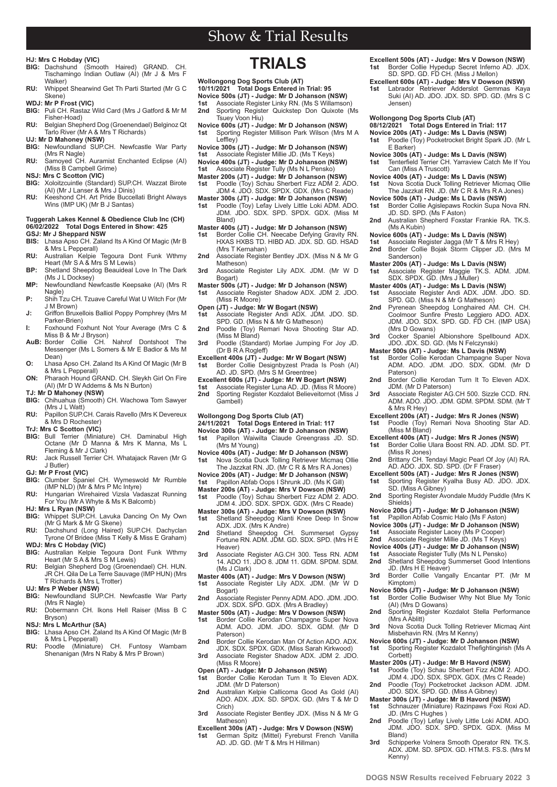## **HJ: Mrs C Hobday (VIC)**

- $\hat{S}$  *Smooth Haired*) GRAND. CH Tischamingo Indian Outlaw (AI) (Mr J & Mrs F Walker)
- **RU:** Whippet Shearwind Get Th Parti Started (Mr G C Skene)

**WDJ: Mr P Frost (VIC)**

- Puli CH. Rastaz Wild Card (Mrs J Gatford & Mr M Fisher-Hoad) **RU:** Belgian Shepherd Dog (Groenendael) Belginoz Qt
- Tarlo River (Mr A & Mrs T Richards) **UJ: Mr D Mahoney (NSW)**<br>**BIG:** Newfoundland SUP.CH. Newfcastle War Party
- (Mrs R Nagle) **RU:** Samoyed CH. Auramist Enchanted Eclipse (AI)
- (Miss B Campbell Grime)
- **NSJ: Mrs C Scotton (VIC)**
- **BIG:** Xoloitzcuintle (Standard) SUP.CH. Wazzat Birote (AI) (Mr J Lanser & Mrs J Dinis) **RU:** Keeshond CH. Art Pride Buccellati Bright Always
- Wins (IMP UK) (Mr B J Santas)

### **Tuggerah Lakes Kennel & Obedience Club Inc (CH) 06/02/2022 Total Dogs Entered in Show: 425**

- **GSJ: Mr J Sheppard NSW BIS:** Lhasa Apso CH. Zaland Its A Kind Of Magic (Mr B
- & Mrs L Pepperall) **RU:** Australian Kelpie Tegoura Dont Funk Wthmy Heart (Mr S A & Mrs S M Lewis)
- **BP:** Shetland Sheepdog Beauideal Love In The Dark (Ms J L Docksey)
- **MP:** Newfoundland Newfcastle Keepsake (AI) (Mrs R Nagle)
- **P:** Shih Tzu CH. Tzuave Careful Wat U Witch For (Mr J M Brown)
- **J:** Griffon Bruxellois Balliol Poppy Pomphrey (Mrs M Parker-Brien) **I:** Foxhound Foxhunt Not Your Average (Mrs C &
- Miss B & Mr J Bryson)
- **AuB:** Border Collie CH. Nahrof Dontshoot The Messenger (Ms L Somers & Mr E Badior & Ms M Dean)
- **O:** Lhasa Apso CH. Zaland Its A Kind Of Magic (Mr B & Mrs L Pepperall) **ON:** Pharaoh Hound GRAND. CH. Sleykh Girl On Fire
- (AI) (Mr D W Addems & Ms N Burton)
- **TJ: Mr D Mahoney (NSW)**
- **BIG:** Chihuahua (Smooth) CH. Wachowa Tom Sawyer  $(Mrs \cup I \text{ Wait})$
- **RU:** Papillon SUP.CH. Carais Ravello (Mrs K Devereux & Mrs D Rochester)
- **TrJ: Mrs C Scotton (VIC) BIG:** Bull Terrier (Miniature) CH. Daminabul High Octane (Mr D Manna & Mrs K Manna, Ms L Fleming & Mr J Clark)
- **RU:** Jack Russell Terrier CH. Whatajack Raven (Mr G J Butler)
- **GJ: Mr P Frost (VIC)**
- **BIG:** Clumber Spaniel CH. Wymeswold Mr Rumble (IMP NLD) (Mr & Mrs P Mc Intyre)
- **RU:** Hungarian Wirehaired Vizsla Vadaszat Running<br>For You (Mr A Whyte & Ms K Balcomb) **HJ: Mrs L Ryan (NSW)**
- **BIG:** Whippet SUP.CH. Lavuka Dancing On My Own
- (Mr G Mark & Mr G Skene) **RU:** Dachshund (Long Haired) SUP.CH. Dachyclan Tyrone Of Bridee (Miss T Kelly & Miss E Graham)
- **WDJ: Mrs C Hobday (VIC) BIG:** Australian Kelpie Tegoura Dont Funk Wthmy Heart (Mr S A & Mrs S M Lewis)
- **RU:** Belgian Shepherd Dog (Groenendael) CH. HUN. JR CH. Qila De La Terre Sauvage (IMP HUN) (Mrs T Richards & Mrs L Trotter)
- **UJ: Mrs P Weber (NSW)**
- **BIG:** Newfoundland SUP.CH. Newfcastle War Party (Mrs R Nagle)
- **RU:** Dobermann CH. Ikons Hell Raiser (Miss B C Bryson)
- **NSJ: Mrs L McArthur (SA)**<br>**BIG:** Lhasa Apso CH, Zalai

**2 www.dogsnsw.org.au DOGS NSW Results received February 2022 3**

- **BIG:** Lhasa Apso CH. Zaland Its A Kind Of Magic (Mr B & Mrs L Pepperall)
- **RU:** Poodle (Miniature) CH. Funtosy Wambam Shenanigan (Mrs N Raby & Mrs P Brown)

# **TRIALS**

- **Wollongong Dog Sports Club (AT)**
- **10/11/2021 Total Dogs Entered in Trial: 95**
- **Novice 500s (JT) Judge: Mr D Johanson (NSW)**
- **1st** Associate Register Linky RN. (Ms S Willamson)<br>**2nd** Sporting Register Quicksten Don Quixote (I **2nd** Sporting Register Quickstep Don Quixote (Ms Tsuey Voon Hiu)
- **Novice 600s (JT) Judge: Mr D Johanson (NSW) 1st** Sporting Register Millison Park Wilson (Mrs M A Leffley)
- **Novice 300s (JT) Judge: Mr D Johanson (NSW)**
- **1st** Associate Register Millie JD. (Ms T Keys) **Novice 400s (JT) - Judge: Mr D Johanson (NSW)**
- **1st** Associate Register Tully (Ms N L Pensko)
- **Master 200s (JT) Judge: Mr D Johanson (NSW)**
- **1st** Poodle (Toy) Schau Sherbert Fizz ADM 2. ADO. JDM 4. JDO. SDX. SPDX. GDX. (Mrs C Reade) **Master 300s (JT) - Judge: Mr D Johanson (NSW)**
- **1st** Poodle (Toy) Lefay Lively Little Loki ADM. ADO.<br>JDM. JDO. SDX. SPD. SPDX. GDX. (Miss M Bland)
- **Master 400s (JT) Judge: Mr D Johanson (NSW)**
- 1st Border Collie CH. Neecabe Defying Gravity RN. HXAS HXBS TD. HIBD AD. JDX. SD. GD. HSAD (Mrs T Kernahan)
- 2nd Associate Register Bentley JDX. (Miss N & Mr G Matheson)
- 3rd Associate Register Lily ADX. JDM. (Mr W D Bogart)
- **Master 500s (JT) Judge: Mr D Johanson (NSW)** Associate Register Shadow ADX. JDM 2. JDO. (Miss R Moore)
- **Open (JT) Judge: Mr W Bogart (NSW) 1st** Associate Register Andi ADX. JDM. JDO. SD.
- SPD. GD. (Miss N & Mr G Matheson)
- **2nd** Poodle (Toy) Remari Nova Shooting Star AD. (Miss M Bland) **3rd** Poodle (Standard) Morlae Jumping For Joy JD.
- (Dr B R A Rogleff)
- **Excellent 400s (JT) Judge: Mr W Bogart (NSW) 1st** Border Collie Designbyzest Prada Is Posh (AI) AD. JD. SPD. (Mrs S M Greentree)
- **Excellent 600s (JT) Judge: Mr W Bogart (NSW)**
- **1st** Associate Register Luna AD. JD. (Miss R Moore) **2** Sporting Register Kozdalot Believeitornot (Miss J Gambell)
- **Wollongong Dog Sports Club (AT)**
- **24/11/2021 Total Dogs Entered in Trial: 117**
- **Novice 300s (AT) Judge: Mr D Johanson (NSW) 1st** Papillon Waiwilta Claude Greengrass JD. SD. (Mrs M Young)
- **Novice 400s (AT) Judge: Mr D Johanson (NSW)**<br>1st Nova Scotia Duck Tolling Retriever Micmaq Ollie<br>The Jazzkat RN. JD. (Mr C R & Mrs R A Jones)
- **Novice 200s (AT) Judge: Mr D Johanson (NSW)**
- Papillon Abfab Oops I Shrunk JD. (Ms K Gill)
- **Master 200s (AT) Judge: Mrs V Dowson (NSW) 1st** Poodle (Toy) Schau Sherbert Fizz ADM 2. ADO.
- JDM 4. JDO. SDX. SPDX. GDX. (Mrs C Reade)
- **Master 300s (AT) Judge: Mrs V Dowson (NSW) 1st** Shetland Sheepdog Kianti Knee Deep In Snow<br>ADX. JDX. (Mrs K Andre)<br>**2nd** Shetland Sheepdog CH. Summerset Gypsy<br>Fortune RN. ADM. JDM. GD. SDX. SPD. (Mrs H E
- Heaver)
- **3rd** Associate Register AG.CH 300. Tess RN. ADM 14. ADO 11. JDO 8. JDM 11. GDM. SPDM. SDM. (Ms J Clark)
- **Master 400s (AT) Judge: Mrs V Dowson (NSW) 1st** Associate Register Lily ADX. JDM. (Mr W D Bogart)
- **2nd** Associate Register Penny ADM. ADO. JDM. JDO. JDX. SDX. SPD. GDX. (Mrs A Bradley)
- **Master 500s (AT) Judge: Mrs V Dowson (NSW) 1st** Border Collie Kerodan Champagne Super Nova<br>ADM. ADO. JDM. JDO. SDX. GDM. (Mr D
- Paterson)
- **2nd** Border Collie Kerodan Man Of Action ADO. ADX. JDX. SDX. SPDX. GDX. (Miss Sarah Kirkwood)
- **3rd** Associate Register Shadow ADX. JDM 2. JDO. (Miss R Moore)
- **Open (AT) Judge: Mr D Johanson (NSW) 1st** Border Collie Kerodan Turn It To Eleven ADX. JDM. (Mr D Paterson)
- **2nd** Australian Kelpie Callicoma Good As Gold (AI) ADO. ADX. JDX. SD. SPDX. GD. (Mrs T & Mr D Crich)
- **3rd** Associate Register Bentley JDX. (Miss N & Mr G Matheson)
- **Excellent 300s (AT) Judge: Mrs V Dowson (NSW) 1st** German Spitz (Mittel) Fyreburst French Vanilla<br>AD. JD. GD. (Mr T & Mrs H Hillman)
- **Excellent 500s (AT) Judge: Mrs V Dowson (NSW) 1st** Border Collie Hypedup Secret Inferno AD. JDX.<br>SD. SPD. GD. FD CH. (Miss J Mellon)
- 
- **Excellent 600s (AT) Judge: Mrs V Dowson (NSW) 1st** Labrador Retriever Adderslot Gemmas Kaya Suki (AI) AD. JDO. JDX. SD. SPD. GD. (Mrs S C Jensen)

### **Wollongong Dog Sports Club (AT)**

- **08/12/2021 Total Dogs Entered in Trial: 117**
- **Novice 200s (AT) Judge: Ms L Davis (NSW) 1st** Poodle (Toy) Pocketrocket Bright Spark JD. (Mr L E Barker)
- **Novice 300s (AT) Judge: Ms L Davis (NSW)**
- Tenterfield Terrier CH. Yarraview Catch Me If You
- Can (Miss A Truscott)
- **Novice 400s (AT) Judge: Ms L Davis (NSW)**<br>1st Nova Scotia Duck Tolling Retriever Micmaq Ollie<br>The Jazzkat RN. JD. (Mr C R & Mrs R A Jones)
- **Novice 500s (AT) Judge: Ms L Davis (NSW)**
- **1st** Border Collie Agislepaws Rockin Supa Nova RN.<br>JD. SD. SPD. (Ms F Aston)
- **2nd** Australian Shepherd Foxstar Frankie RA. TK.S. (Ms A Kubin)

**Master 200s (AT) - Judge: Ms L Davis (NSW) 1st** Associate Register Maggie TK.S. ADM. JDM.

SPD. GD. (Miss N & Mr G Matheson) **2nd** Pyrenean Sheepdog Longhaired AM. CH. CH. Coolmoor Sunfire Presto Leggiero ADO. ADX. JDM. JDO. SDX. SPD. GD. FD CH. (IMP USA)

**3rd** Cocker Spaniel Albionshore Spellbound ADX. JDO. JDX. SD. GD. (Ms N Felczynski) **Master 500s (AT) - Judge: Ms L Davis (NSW)** 1st Border Collie Kerodan Champagne Super Nova ADM. ADO. JDM. JDO. SDX. GDM. (Mr D

2nd Border Collie Kerodan Turn It To Eleven ADX.

**3rd** Associate Register AG.CH 500. Sizzle CCD. RN. ADM. ADO. JDO. JDM. GDM. SPDM. SDM. (Mr T

**Excellent 200s (AT) - Judge: Mrs R Jones (NSW) 1st** Poodle (Toy) Remari Nova Shooting Star AD.

**2nd** Brittany CH. Tendayi Magic Pearl Of Joy (AI) RA. AD. ADO. JDX. SD. SPD. (Dr F Fraser) **Excellent 500s (AT) - Judge: Mrs R Jones (NSW) 1st** Sporting Register Kyalha Busy AD. JDO. JDX. SD. (Miss A Gibney) 2nd Sporting Register Avondale Muddy Puddle (Mrs K

**Excellent 400s (AT) - Judge: Mrs R Jones (NSW)** Border Collie Ulara Boost RN. AD. JDM. SD. PT.

**Novice 200s (JT) - Judge: Mr D Johanson (NSW) Papillon Abfab Cosmic Halo (Ms F Aston) Novice 300s (JT) - Judge: Mr D Johanson (NSW) 1st** Associate Register Lacey (Ms P Cooper)<br>**2nd** Associate Register Millie JD (Ms T Keys **2nd** Associate Register Millie JD. (Ms T Keys) **Novice 400s (JT) - Judge: Mr D Johanson (NSW)**<br>1st Associate Register Tully (Ms N L Pensko)<br>**2nd** Shetland Sheepdog Summerset Good Intentions

3rd Border Collie Vangally Encantar PT. (Mr M

**Novice 500s (JT) - Judge: Mr D Johanson (NSW) 1st** Border Collie Budwiser Why Not Blue My Tonic

2nd Sporting Register Kozdalot Stella Performance

**3rd** Nova Scotia Duck Tolling Retriever Micmaq Aint<br>Misbehavin RN. (Mrs M Kenny) **Novice 600s (JT) - Judge: Mr D Johanson (NSW) 1st** Sporting Register Kozdalot Thefightingirish (Ms A

**Master 200s (JT) - Judge: Mr B Havord (NSW) 1st** Poodle (Toy) Schau Sherbert Fizz ADM 2. ADO. JDM 4. JDO. SDX. SPDX. GDX. (Mrs C Reade) Poodle (Toy) Pocketrocket Jackson ADM. JDM. JDO. SDX. SPD. GD. (Miss A Gibney) **Master 300s (JT) - Judge: Mr B Havord (NSW) 1st** Schnauzer (Miniature) Razinpaws Foxi Roxi AD.

2nd Poodle (Toy) Lefay Lively Little Loki ADM. ADO. JDM. JDO. SDX. SPD. SPDX. GDX. (Miss M

3rd Schipperke Volnera Smooth Operator RN. TK.S. ADX. JDM. SD. SPDX. GD. HTM.S. FS.S. (Mrs M

Associate Register Andi ADX. JDM. JDO. SD.

**Novice 600s (AT) - Judge: Ms L Davis (NSW) 1st** Associate Register Jagga (Mr T & Mrs R Hey) **2nd** Border Collie Bojak Storm Clipper JD. (Mrs M

SDX. SPDX. GD. (Mrs J Muller) **Master 400s (AT) - Judge: Ms L Davis (NSW)**

Sanderson)

(Mrs D Gowans)

JDM. (Mr D Paterson)

Paterson)

& Mrs R Hey)

(Miss M Bland)

(Miss R Jones)

JD. (Mrs H E Heaver)

(AI) (Mrs D Gowans)

JD. (Mrs C Hughes)

Shields)

Kimptom)

(Mrs A Ablitt)

Corbett)

Bland)

Kenny)